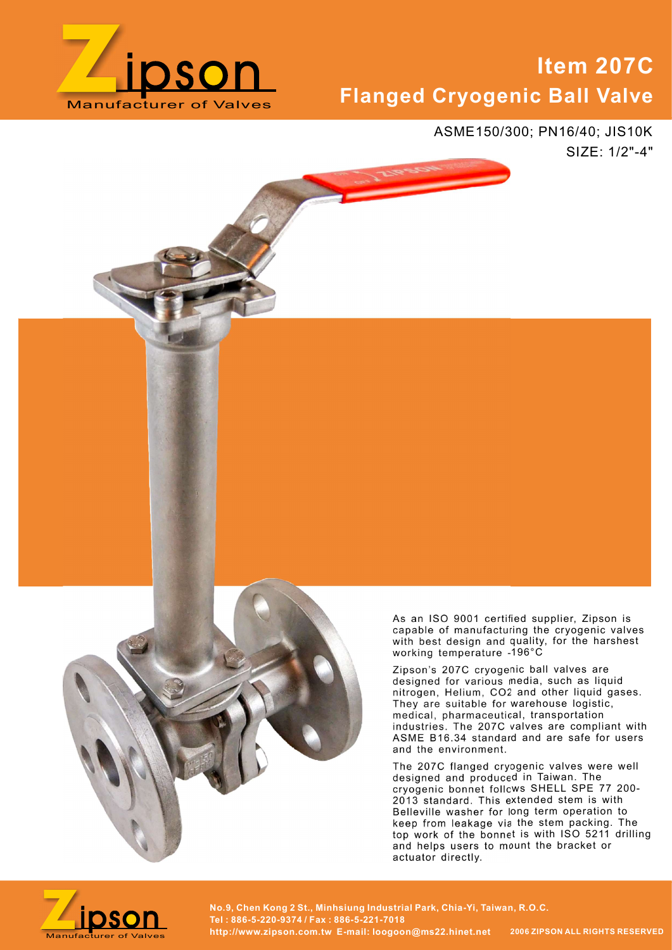

# **m 207C<br>all Valve**<br>6/40; JIS10K<br>SIZE: 1/2"-4" Item 207С Flanged Cryogenic Ball Valve

ASME150/300; PN16/40; JIS10K



As an ISO 9001 certified supplier, Zipson is capable of manufacturing the cryogenic valves with best design and quality, for the harshest working temperature -196°C

Zipson's 207C cryogenic ball valves are designed for various media, such as liquid nitrogen, Helium, CO2 and other liquid gases. They are suitable for warehouse logistic, medical, pharmaceutical, transportation industries. The 207C valves are compliant with ASME B16.34 standard and are safe for users and the environment.

The 207C flanged cryogenic valves were well designed and produced in Taiwan. The cryogenic bonnet follows SHELL SPE 77 200- 2013 standard. This extended stem is with Belleville washer for long term operation to keep from leakage via the stem packing. The top work of the bonnet is with ISO 5211 drilling and helps users to mount the bracket or actuator directly.



No.9, Chen Kong 2 St., Minhsiung Industrial Park, Chia-Yi, Taiwan, R.O.C.<br>Manufacturer of Valves http://www.zipson.com.tw E-mail: loogoon@ms22.hinet.net 2006 ZIPSON ALL RIGHTS RESERVED Tel : 886-5-220-9374 / Fax : 886-5-221-7018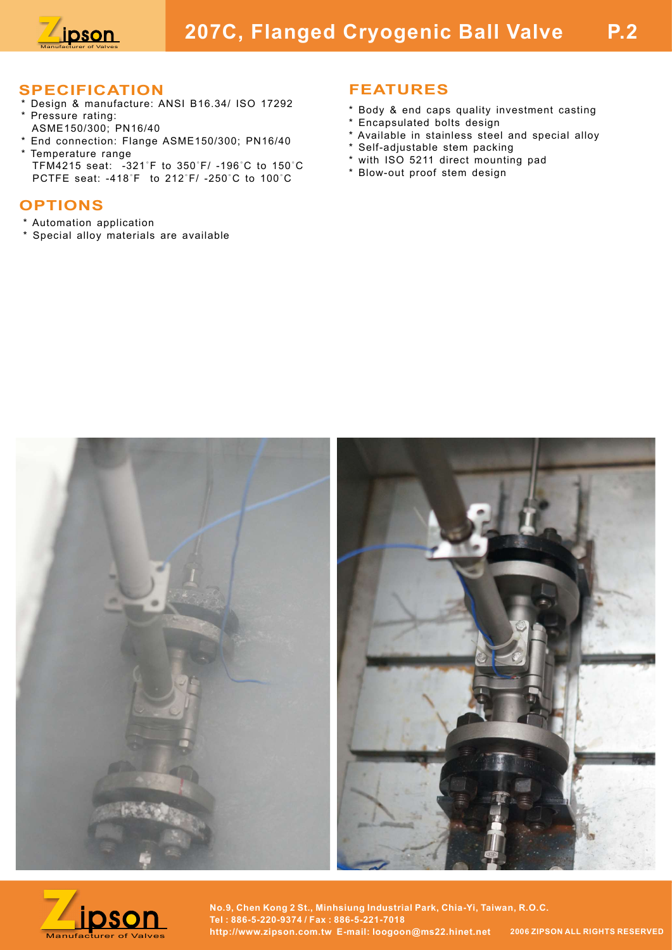

# **Manufacture: Concept Call Valve P.2**<br>
Manufacture: ANSI B16.34/ ISO 17292<br> **ECIFICATION**<br> **ERATURES**

## SPECIFICATION

- \* Design & manufacture: ANSI B16.34/ ISO 17292 Pressure rating:
- ASME150/300; PN16/40
- \* End connection: Flange ASME150/300; PN16/40 \* Temperature range<br>TFM4215 seat:  $-321^\circ$ F to 350°F/ -196°C to 150°C **EXECUTE ATION**<br> **EXECUTE ATION**<br> **EXECUTE ATION**<br> **EXECUTE ATION**<br> **EXECUTE ATION**<br> **EXECUTE ATION**<br> **EXECUTE Seat:** -381 B16.34/ ISO 17292<br> **EXECUTE SEATURES**<br> **EXECUTE SEAT URGES**<br> **EXECUTE ATION**<br> **EXECUTE ATION**<br> **EXE PECIFICATION**<br>
PECIFICATION<br>
PECIFICATION<br>
PECIFICATION<br>
PECIFICATION<br>
PECIFICATION<br>
PECIFICATION<br>
PECIFICATION<br>
ASMET50/300; PN16/40<br>
A SMET50/300; PN16/40<br>
A SMET50/300; PN16/40<br>
A SMETAL A CONSIDER CONSIDER TO CONSIDE

# OPTIONS

- \* Automation application
- \* Special alloy materials are available

## FEATURES

- \* Body & end caps quality investment casting
- \* Encapsulated bolts design
- \* Available in stainless steel and special alloy
- \* Self-adjustable stem packing
- \* with ISO 5211 direct mounting pad
- \* Blow-out proof stem design





No.9, Chen Kong 2 St., Minhsiung Industrial Park, Chia-Yi, Taiwan, R.O.C.<br>Manufacturer of Valves http://www.zipson.com.tw E-mail: loogoon@ms22.hinet.net 2006 ZIPSON ALL RIGHTS RESERVED Tel : 886-5-220-9374 / Fax : 886-5-221-7018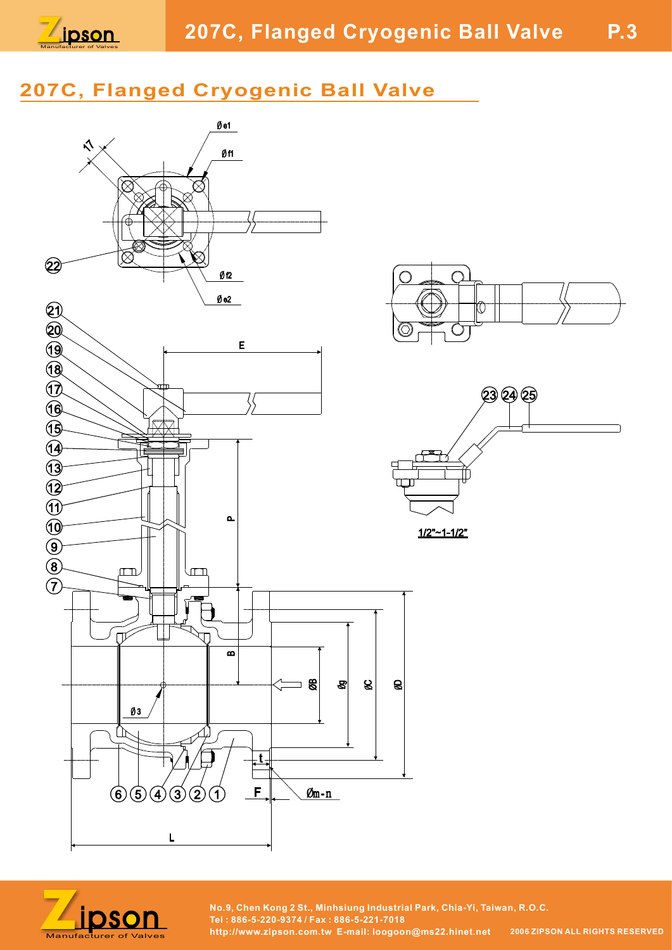

# 207C, Flanged Cryogenic Ball Valve



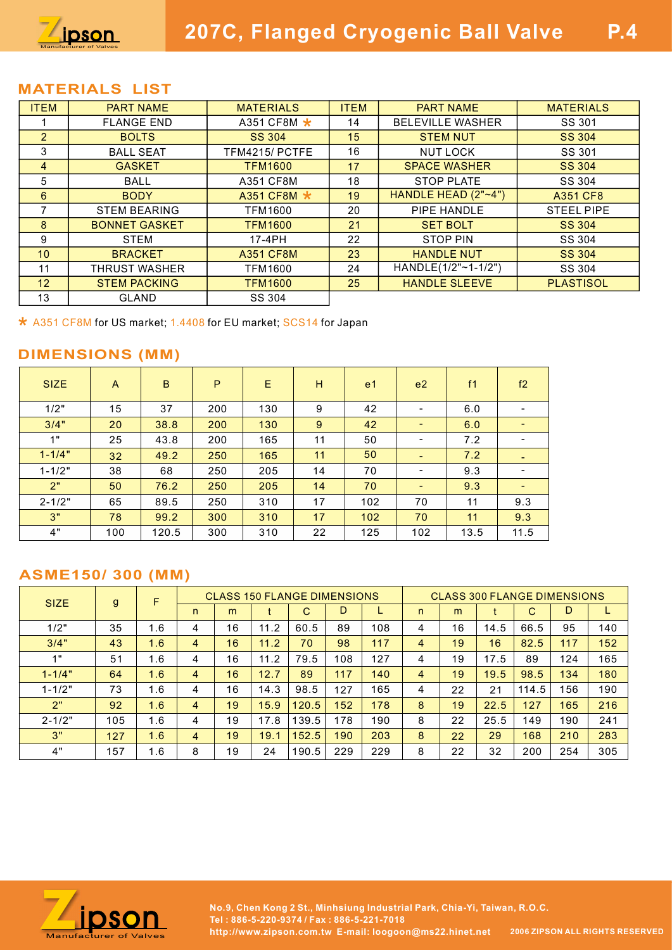

### MATERIALS LIST

|                                | pson                                                             |      |             |                              |                  |                |                                    |                                            |                |                         |
|--------------------------------|------------------------------------------------------------------|------|-------------|------------------------------|------------------|----------------|------------------------------------|--------------------------------------------|----------------|-------------------------|
|                                |                                                                  |      |             |                              |                  |                |                                    |                                            |                |                         |
|                                |                                                                  |      |             |                              |                  |                |                                    |                                            |                |                         |
|                                |                                                                  |      |             |                              |                  |                |                                    |                                            |                |                         |
|                                |                                                                  |      |             |                              |                  |                |                                    |                                            |                |                         |
|                                |                                                                  |      |             |                              |                  |                |                                    |                                            |                |                         |
|                                |                                                                  |      |             |                              |                  |                | 207C, Flanged Cryogenic Ball Valve |                                            |                | <b>P.4</b>              |
|                                |                                                                  |      |             |                              |                  |                |                                    |                                            |                |                         |
|                                |                                                                  |      |             |                              |                  |                |                                    |                                            |                |                         |
|                                |                                                                  |      |             |                              |                  |                |                                    |                                            |                |                         |
|                                | <b>MATERIALS LIST</b>                                            |      |             |                              |                  |                |                                    |                                            |                |                         |
| <b>ITEM</b>                    | <b>PART NAME</b>                                                 |      |             | <b>MATERIALS</b>             |                  | <b>ITEM</b>    |                                    | <b>PART NAME</b>                           |                | <b>MATERIALS</b>        |
| $\mathbf{1}$<br>$\overline{2}$ | <b>FLANGE END</b><br><b>BOLTS</b>                                |      |             | A351 CF8M ★<br><b>SS 304</b> |                  | 14<br>15       |                                    | <b>BELEVILLE WASHER</b><br><b>STEM NUT</b> |                | SS 301<br><b>SS 304</b> |
| $\mathfrak{S}$                 | <b>BALL SEAT</b>                                                 |      |             | TFM4215/ PCTFE               |                  | 16             |                                    | <b>NUT LOCK</b>                            |                | SS 301                  |
| $\overline{4}$                 | <b>GASKET</b>                                                    |      |             | <b>TFM1600</b>               |                  | 17             |                                    | <b>SPACE WASHER</b>                        |                | <b>SS 304</b>           |
| $\sqrt{5}$                     | <b>BALL</b>                                                      |      |             | A351 CF8M                    |                  | 18             |                                    | <b>STOP PLATE</b>                          |                | SS 304                  |
| $6\phantom{a}$                 | <b>BODY</b>                                                      |      |             | A351 CF8M ★                  |                  | 19             | HANDLE HEAD (2"~4")                |                                            |                | A351 CF8                |
| $\overline{7}$                 | <b>STEM BEARING</b>                                              |      |             | <b>TFM1600</b>               |                  | 20             |                                    | PIPE HANDLE                                |                | <b>STEEL PIPE</b>       |
| 8                              | <b>BONNET GASKET</b>                                             |      |             | <b>TFM1600</b>               |                  | 21             |                                    | <b>SET BOLT</b>                            |                | <b>SS 304</b>           |
| 9                              | <b>STEM</b>                                                      |      |             | 17-4PH                       |                  | 22             |                                    | <b>STOP PIN</b>                            |                | SS 304                  |
| 10                             | <b>BRACKET</b>                                                   |      |             | <b>A351 CF8M</b>             |                  | 23             |                                    | <b>HANDLE NUT</b>                          |                | <b>SS 304</b>           |
| 11                             | <b>THRUST WASHER</b>                                             |      |             | <b>TFM1600</b>               |                  | 24             |                                    | HANDLE(1/2"~1-1/2")                        |                | SS 304                  |
| 12                             | <b>STEM PACKING</b>                                              |      |             | <b>TFM1600</b>               |                  | 25             |                                    | <b>HANDLE SLEEVE</b>                       |                | <b>PLASTISOL</b>        |
| 13                             | <b>GLAND</b>                                                     |      |             | SS 304                       |                  |                |                                    |                                            |                |                         |
|                                | * A351 CF8M for US market; 1.4408 for EU market; SCS14 for Japan |      |             |                              |                  |                |                                    |                                            |                |                         |
|                                |                                                                  |      |             |                              |                  |                |                                    |                                            |                |                         |
|                                | <b>DIMENSIONS (MM)</b>                                           |      |             |                              |                  |                |                                    |                                            |                |                         |
|                                |                                                                  |      |             |                              |                  |                |                                    |                                            |                |                         |
| <b>SIZE</b>                    | $\mathsf{A}$                                                     | B.   | $\mathsf P$ | $\mathsf{E}% _{T}$           | $\mathsf{H}$     | e <sub>1</sub> | e2                                 | f1                                         | f2             |                         |
| 1/2"                           | 15                                                               | 37   | 200         | 130                          | $\boldsymbol{9}$ | 42             | $\blacksquare$                     | 6.0                                        | $\blacksquare$ |                         |
| 3/4"                           | 20                                                               | 38.8 | 200         | 130                          | $9\,$            | 42             | $\mathcal{L}_{\mathcal{A}}$        | 6.0                                        | $\blacksquare$ |                         |
|                                |                                                                  |      |             |                              |                  |                |                                    |                                            |                |                         |

| 12                                                                                         |              | <b>STEM PACKING</b> |                |             | TFM1600                            |               | 25  |                | <b>HANDLE SLEEVE</b>         |                |              |                                    | <b>PLASTISOL</b> |     |
|--------------------------------------------------------------------------------------------|--------------|---------------------|----------------|-------------|------------------------------------|---------------|-----|----------------|------------------------------|----------------|--------------|------------------------------------|------------------|-----|
| 13                                                                                         |              | <b>GLAND</b>        |                |             | SS 304                             |               |     |                |                              |                |              |                                    |                  |     |
| * A351 CF8M for US market; 1.4408 for EU market; SCS14 for Japan<br><b>DIMENSIONS (MM)</b> |              |                     |                |             |                                    |               |     |                |                              |                |              |                                    |                  |     |
| <b>SIZE</b>                                                                                | $\mathsf{A}$ | $\sf{B}$            |                | $\mathsf P$ | E                                  | H             |     | e <sub>1</sub> | e <sub>2</sub>               | f <sub>1</sub> |              | f2                                 |                  |     |
| 1/2"                                                                                       | 15           | 37                  |                | 200         | 130                                | 9             |     | 42             | $\blacksquare$               | 6.0            |              | $\blacksquare$                     |                  |     |
| 3/4"                                                                                       | 20           | 38.8                |                | 200         | 130                                | 9             |     | 42             | $\blacksquare$               | 6.0            |              | $\sim$                             |                  |     |
| 1"                                                                                         | 25           | 43.8                |                | 200         | 165                                | 11            |     | 50             | $\qquad \qquad \blacksquare$ | 7.2            |              | $\blacksquare$                     |                  |     |
| $1 - 1/4"$                                                                                 | 32           | 49.2                |                | 250         | 165                                | 11            |     | 50             | $\blacksquare$               | 7.2            |              | $\sim$                             |                  |     |
| $1 - 1/2"$                                                                                 | 38           | 68                  |                | 250         | 205                                | 14            |     | 70             | $\overline{\phantom{a}}$     | 9.3            |              | $\blacksquare$                     |                  |     |
| 2"                                                                                         | 50           | 76.2                |                | 250         | 205                                | 14            |     | 70             | $\blacksquare$               | 9.3            |              | $\sim$                             |                  |     |
| $2 - 1/2"$                                                                                 | 65           | 89.5                |                | 250         | 310                                | 17            |     | 102            | 70                           | 11             |              | 9.3                                |                  |     |
| 3"                                                                                         | 78           | 99.2                |                | 300         | 310                                | 17            |     | 102            | 70                           | 11             |              | 9.3                                |                  |     |
| 4"                                                                                         | 100          | 120.5               |                | 300         | 310                                | 22            |     | 125            | 102                          | 13.5           |              | 11.5                               |                  |     |
| <b>ASME150/300 (MM)</b>                                                                    |              |                     |                |             |                                    |               |     |                |                              |                |              |                                    |                  |     |
| <b>SIZE</b>                                                                                | $\mathsf{g}$ | F                   |                |             | <b>CLASS 150 FLANGE DIMENSIONS</b> |               | D   |                |                              |                |              | <b>CLASS 300 FLANGE DIMENSIONS</b> | D                |     |
|                                                                                            |              |                     | n              | m           | t                                  | $\mathcal{C}$ |     | L.             | n.                           | m              | $^{\dagger}$ | $\mathcal{C}$                      |                  | L   |
| 1/2"                                                                                       | 35           | 1.6                 | $\overline{4}$ | 16          | 11.2                               | 60.5          | 89  | 108            | 4                            | 16             | 14.5         | 66.5                               | 95               | 140 |
| 3/4"                                                                                       | 43           | 1.6                 | 4              | 16          | 11.2                               | 70            | 98  | 117            | $\overline{4}$               | 19             | 16           | 82.5                               | 117              | 152 |
| 1"                                                                                         | 51           | 1.6                 | $\overline{4}$ | 16          | 11.2                               | 79.5          | 108 | 127            | 4                            | 19             | 17.5         | 89                                 | 124              | 165 |
| $1 - 1/4"$                                                                                 | 64           | 1.6                 | $\overline{4}$ | 16          | 12.7                               | 89            | 117 | 140            | 4                            | 19             | 19.5         | 98.5                               | 134              | 180 |

| * A351 CF8M for US market; 1.4408 for EU market; SCS14 for Japan |              |       |                |                                    |      |             |     |                |                          |      |      |                                    |     |     |  |  |  |  |
|------------------------------------------------------------------|--------------|-------|----------------|------------------------------------|------|-------------|-----|----------------|--------------------------|------|------|------------------------------------|-----|-----|--|--|--|--|
| <b>DIMENSIONS (MM)</b>                                           |              |       |                |                                    |      |             |     |                |                          |      |      |                                    |     |     |  |  |  |  |
| <b>SIZE</b>                                                      | A            | B     |                | P                                  | E    | H           |     | e <sub>1</sub> | e <sub>2</sub>           | f1   |      | f2                                 |     |     |  |  |  |  |
| 1/2"                                                             | 15           | 37    |                | 200                                | 130  | 9           |     | 42             | $\blacksquare$           | 6.0  |      | $\blacksquare$                     |     |     |  |  |  |  |
| 3/4"                                                             | 20           | 38.8  |                | 200                                | 130  | 9           |     | 42             | $\sim$                   | 6.0  |      | $\sim$                             |     |     |  |  |  |  |
| 1"                                                               | 25           | 43.8  |                | 200                                | 165  | 11          |     | 50             | $\blacksquare$           | 7.2  |      | $\overline{\phantom{a}}$           |     |     |  |  |  |  |
| $1 - 1/4"$                                                       | 32           | 49.2  |                | 250                                | 165  | 11          |     | 50             | $\equiv$                 | 7.2  |      | $\sim$                             |     |     |  |  |  |  |
| $1 - 1/2"$                                                       | 38           | 68    |                | 250                                | 205  | 14          |     | 70             | $\overline{\phantom{a}}$ | 9.3  |      | $\sim$                             |     |     |  |  |  |  |
| 2"                                                               | 50           | 76.2  |                | 250                                | 205  | 14          |     | 70             | $\sim$                   | 9.3  |      | $\sim$                             |     |     |  |  |  |  |
| $2 - 1/2"$                                                       | 65           | 89.5  |                | 250                                | 310  | 17          |     | 102            | 70                       | 11   |      | 9.3                                |     |     |  |  |  |  |
| 3"                                                               | 78           | 99.2  |                | 300                                | 310  | 17          |     | 102            | 70                       | 11   |      | 9.3                                |     |     |  |  |  |  |
| 4"                                                               | 100          | 120.5 |                | 300                                | 310  | 22          |     | 125            | 102                      | 13.5 |      | 11.5                               |     |     |  |  |  |  |
| <b>ASME150/300 (MM)</b>                                          |              | F     |                | <b>CLASS 150 FLANGE DIMENSIONS</b> |      |             |     |                |                          |      |      | <b>CLASS 300 FLANGE DIMENSIONS</b> |     |     |  |  |  |  |
| <b>SIZE</b>                                                      | $\mathsf{g}$ |       | n              | m                                  | t    | $\mathbf C$ | D   | L.             | n                        | m    |      | $\mathbf C$                        | D   | L.  |  |  |  |  |
| 1/2"                                                             | 35           | 1.6   | 4              | 16                                 | 11.2 | 60.5        | 89  | 108            | 4                        | 16   | 14.5 | 66.5                               | 95  | 140 |  |  |  |  |
| 3/4"                                                             | 43           | 1.6   | $\overline{4}$ | 16                                 | 11.2 | 70          | 98  | 117            | 4                        | 19   | 16   | 82.5                               | 117 | 152 |  |  |  |  |
| 1"                                                               | 51           | 1.6   | $\overline{4}$ | 16                                 | 11.2 | 79.5        | 108 | 127            | 4                        | 19   | 17.5 | 89                                 | 124 | 165 |  |  |  |  |
| $1 - 1/4"$                                                       | 64           | 1.6   | $\overline{4}$ | 16                                 | 12.7 | 89          | 117 | 140            | $\overline{4}$           | 19   | 19.5 | 98.5                               | 134 | 180 |  |  |  |  |
| $1 - 1/2"$                                                       | 73           | 1.6   | 4              | 16                                 | 14.3 | 98.5        | 127 | 165            | 4                        | 22   | 21   | 114.5                              | 156 | 190 |  |  |  |  |
| 2"                                                               | 92           | 1.6   | $\overline{4}$ | 19                                 | 15.9 | 120.5       | 152 | 178            | 8                        | 19   | 22.5 | 127                                | 165 | 216 |  |  |  |  |
| $2 - 1/2"$                                                       | 105          | 1.6   | $\overline{4}$ | 19                                 | 17.8 | 139.5       | 178 | 190            | 8                        | 22   | 25.5 | 149                                | 190 | 241 |  |  |  |  |
| 3"                                                               | 127          | 1.6   | $\overline{4}$ | 19                                 | 19.1 | 152.5       | 190 | 203            | 8                        | 22   | 29   | 168                                | 210 | 283 |  |  |  |  |
| 4"                                                               | 157          | 1.6   | 8              | 19                                 | 24   | 190.5       | 229 | 229            | 8                        | 22   | 32   | 200                                | 254 | 305 |  |  |  |  |
|                                                                  |              |       |                |                                    |      |             |     |                |                          |      |      |                                    |     |     |  |  |  |  |